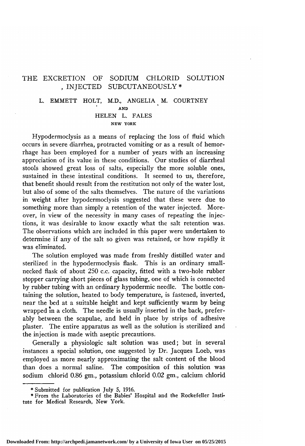## THE EXCRETION OF SODIUM CHLORID SOLUTION . INJECTED SUBCUTANEOUSLY \*

### L. EMMETT HOLT, M.D., ANGELIA M. COURTNEY AND HELEN L. FALES NEW YORK

Hypodermoclysis as <sup>a</sup> means of replacing the loss of fluid which occurs in severe diarrhea, protracted vomiting or as <sup>a</sup> result of hemorrhage has been employed for <sup>a</sup> number of years with an increasing appreciation of its value in these conditions. Our studies of diarrheal stools showed great loss of salts, especially the more soluble ones, sustained in these intestinal conditions. It seemed to us, therefore, that benefit should result from the restitution not only of the water lost, but also of some of the salts themselves. The nature of the variations in weight after hypodermoclysis suggested that these were due to something more than simply <sup>a</sup> retention of the water injected. Moreover, in view of the necessity in many cases of repeating the injections, it was desirable to know exactly what the salt retention was. The observations which are included in this paper were undertaken to determine if any of the salt so given was retained, or how rapidly it was eliminated.

The solution employed was made from freshly distilled water and sterilized in the hypodermoclysis flask. This is an ordinary smallnecked flask of about 250 c.c. capacity, fitted with <sup>a</sup> two-hole rubber stopper carrying short pieces of glass tubing, one of which is connected by rubber tubing with an ordinary hypodermic needle. The bottle containing the solution, heated to body temperature, is fastened, inverted, near the bed at <sup>a</sup> suitable height and kept sufficiently warm by being wrapped in a cloth. The needle is usually inserted in the back, preferably between the scapulae, and held in place by strips of adhesive plaster. The entire apparatus as well as the solution is sterilized and the injection is made with aseptic precautions.

Generally <sup>a</sup> physiologic salt solution was used; but in several instances <sup>a</sup> special solution, one suggested by Dr. Jacques Loeb, was employed as more nearly approximating the salt content of the blood than does <sup>a</sup> normal saline. The composition of this solution was sodium chlorid 0.86 gm., potassium chlorid 0.02 gm., calcium chlorid

Submitted for publication July 5, 1916.

From the Laboratories of the Babies' Hospital and the Rockefeller Institute for Medical Research, New York.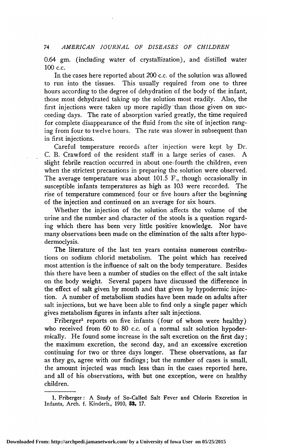0.64 gm. (including water of crystallization), and distilled water 100 c.c.

In the cases here reported about 200 c.c. of the solution was allowed<br>to run into the tissues. This usually required from one to three This usually required from one to three hours according to the degree of dehydration of the body of the infant, those most dehydrated taking up the solution most readily. Also, the first injections were taken up more rapidly than those given on succeeding days. The rate of absorption varied greatly, the time required for complete disappearance of the fluid from the site of injection ranging from four to twelve hours. The rate was slower in subsequent than in first injections.

Careful temperature records after injection were kept by Dr. C. B. Crawford of the resident staff in a large series of cases. slight febrile reaction occurred in about one-fourth the children, even when the strictest precautions in preparing the solution were observed. The average temperature was about 101.5 F., though occasionally in susceptible infants temperatures as high as 103 were recorded. The susceptible infants temperatures as high as 103 were recorded. rise of temperature commenced four or five hours after the beginning of the injection and continued on an average for six hours.

Whether the injection of the solution affects the volume of the urine and the number and character of the stools is a question regarding which there has been very little positive knowledge. Nor have many observations been made on the elimination of the salts after hypodermoclysis.

The literature of the last ten years contains numerous contributions on sodium chlorid metabolism. The point which has received most attention is the influence of salt on the body temperature. Besides this there have been a number of studies on the effect of the salt intake on the body weight. Several papers have discussed the difference in the effect of salt given by mouth and that given by hypodermic injection. A number of metabolism studies have been made on adults after salt injections, but we have been able to find only <sup>a</sup> single paper which gives metabolism figures in infants after salt injections.

 $Friberger<sup>1</sup>$  reports on five infants (four of whom were healthy) who received from 60 to 80 c.c. of a normal salt solution hypodermically. He found some increase in the salt excretion on the first day ; the maximum excretion, the second day, and an excessive excretion continuing for two or three days longer. These observations, as far as they go, agree with our findings ; but the number of cases is small, the amount injected was much less than in the cases reported here, and all of his observations, with but one exception, were on healthy children.

<sup>1.</sup> Friberger: A Study of So-Called Salt Fever and Chlorin Excretion in Infants, Arch. f. Kinderh., 1910, 53, 17.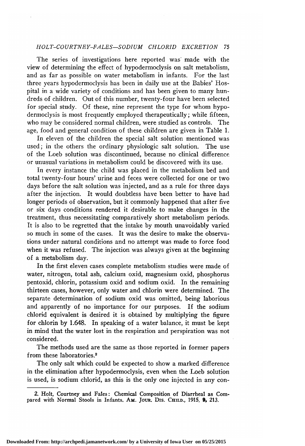#### HOLT-COURTNEY-FALES-SODIUM CHLORID EXCRETION - 75

The series of investigations here reported was made with the view of determining the effect of hypodermoclysis on salt metabolism, and as far as possible on water metabolism in infants. For the last three years hypodermoclysis has been in daily use at the Babies' Hos pital in a wide variety of conditions and has been given to many hundreds of children. Out of this number, twenty-four have been selected for special study. Of these, nine represent the type for whom hypodermoclysis is most frequently employed therapeutically ; while fifteen, who may be considered normal children, were studied as controls. The age, food and general condition of these children are given in Table 1.

In eleven of the children the special salt solution mentioned was  $d$ : in the others the ordinary physiologic salt solution. The use used; in the others the ordinary physiologic salt solution. of the Loeb solution was discontinued, because no clinical difference or unusual variations in metabolism could be discovered with its use.

In every instance the child was placed in the metabolism bed and total twenty-four hours' urine and feces were collected for one or two days before the salt solution was injected, and as <sup>a</sup> rule for three days after the injection. It would doubtless have been better to have had longer periods of observation, but it commonly happened that after five or six days conditions rendered it desirable to make changes in the treatment, thus necessitating comparatively short metabolism periods. It is also to be regretted that the intake by mouth unavoidably varied so much in some of the cases. It was the desire to make the observations under natural conditions and no attempt was made to force food when it was refused. The injection was always given at the beginning of <sup>a</sup> metabolism day.

In the first eleven cases complete metabolism studies were made of water, nitrogen, total ash, calcium oxid, magnesium oxid, phosphorus pentoxid, chlorin, potassium oxid and sodium oxid. In the remaining thirteen cases, however, only water and chlorin were determined. The separate determination of sodium oxid was omitted, being laborious and apparently of no importance for our purposes. If the sodium chlorid equivalent is desired it is obtained by multiplying the figure for chlorin by 1.648. In speaking of <sup>a</sup> water balance, it must be kept in mind that the water lost in the respiration and perspiration was not considered.

The methods used are the same as those reported in former papers from these laboratories.2

The only salt which could be expected to show <sup>a</sup> marked difference in the elimination after hypodermoclysis, even when the Loeb solution is used, is sodium chlorid, as this is the only one injected in any con-

<sup>2.</sup> Holt, Courtney and Fales: Chemical Composition of Diarrheal as Compared with Normal Stools in Infants. AM. Jour. Drs. CHILD., 1915, 9, 213.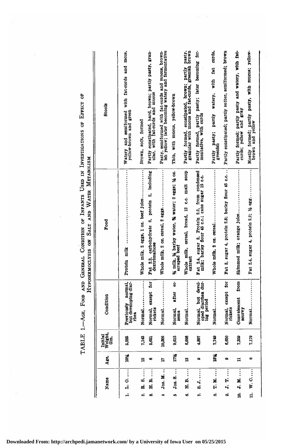|            |                                               |                             |                           |                                                                  | HYPODERMOCLYSIS ON SALT AND WATER METABOLISM                                                    |                                                                                                          |
|------------|-----------------------------------------------|-----------------------------|---------------------------|------------------------------------------------------------------|-------------------------------------------------------------------------------------------------|----------------------------------------------------------------------------------------------------------|
|            | Name                                          | Age,                        | Initial<br>Weight,<br>Gm. | Condition                                                        | Food                                                                                            | <b>Stools</b>                                                                                            |
| $\ddot{ }$ | $\vdots$<br>ن<br>نه                           | 10%                         | 5,285                     | rreviously normal,<br>but developing diar-<br>Previously<br>rhea | Protein milk                                                                                    | Watery and semiformed with fat-curds and mous,<br>yellow-brown and green                                 |
| σá         | $R_1$                                         | $\boldsymbol{\mathfrak{a}}$ | 7,143                     | Normal                                                           | Whole milk, 2 eggs, 1 oz. beef juice                                                            | Brown, soft, formed                                                                                      |
| ¤i<br>øó   | ri,                                           | G                           | 5,651                     | ā<br>Normal, except<br>rickets                                   | Fat 2.2, carbohydrate 6, protein 2, including<br>dextrimaltose                                  | Partly constipated, hard, brown; partly pasty, gran-<br>ular, with fat-curds and mucus                   |
| ₩          | ÷<br>Jos. M.                                  | Ħ                           | 10,305                    |                                                                  |                                                                                                 | Pasty, semiformed with fat-curds and mucus, brown-<br>ish yellow; later becoming watery and fermentative |
| ió,        | Jos. S.                                       | TH.                         | 9,615                     | ģ<br>after<br>Normal,<br>$z$ ema                                 | % milk, % barley water, % water; 2 eggs; % oz.<br>scraped beef                                  | Thin, with mucus, yellow-brown                                                                           |
| ó          | $\vdots$<br>H.B.                              | ä                           | 6,998                     | Normal                                                           | Whole milk, cereal, bread, 12 c.c. malt soup<br>extract                                         | Partly formed, constipated, brown; partly pasty, granular with mucus and fat-curds, greenish brown       |
| r.         | 8. J.                                         | ۰                           | 1,897                     | Normal, but devel-<br>oped diarrhea dur-<br>ing period           | Fat 2.4, sugar 3, Protein 2.2, from condensed<br>milk; barley flour 45 c.c.; cane sugar 15 c.c. | Partly formed, partly pasty; later becoming fer-<br>mentative, with curds                                |
| Ë,<br>œ    | $\vdots$<br>E,                                | 18%                         | 1,749                     | Normal                                                           |                                                                                                 | Partly pasty; partly watery, with fat curds,<br>greenish                                                 |
| 5<br>c.    | $\vdots$<br>Ë                                 | ھ                           | 80<br>စ                   | Normal, except for<br>rickets                                    | Fat 3, sugar 4, protein 2.8; barley flour 45 c.c                                                | Partly constipated; partly softer, semiformed; brown                                                     |
| H,<br>S    | ă,                                            | H                           | 83<br>r.                  | from<br>Convalescent<br><b>SCIITVY</b>                           | Skimmed milk; orange juice                                                                      | Partly formed; partly pasty and watery, with fat-<br>curds; yellow and gray                              |
| $\ddot{=}$ | $\overline{\mathbf{w}}$ . $\mathbf{0} \ldots$ | Ф                           | 1,179                     |                                                                  | Fat 2.4, sugar 4, protein 2.2; 1/2 egg                                                          | Mostly formed; partly pasty, with mucus; yellow-<br>brown and yellow                                     |
|            |                                               |                             |                           |                                                                  |                                                                                                 |                                                                                                          |

TABLE 1.-AGE, FOOD AND GENERAL CONDITION OF INFANTS USED IN INVESTIGATIONS OF EFFECT OF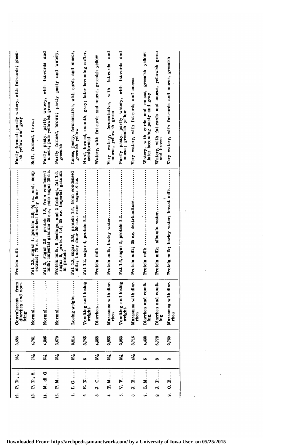| Partly formed; partly watery, with fat-curds; green-<br>ish yellow and gray | Soft, formed, brown                                                                   | watery, with fat-curds and<br>Partly pasty, partly water<br>mucus; pale yellowish green        | Partly formed, brown; partly pasty and watery,<br>greenish                                                     | Loose, pasty, fermentative, with curds and mucus, greenish yellow                                 | Hard, formed, smooth, gray; later becoming softer,<br>semiformed | Watery, with fat-curds and mucus, greenish yellow | and<br>fat-curds<br>with<br>Very watery, fermentative,<br>mucus, yellowish green | and<br>watery, with fat-curds<br>Partly pasty, partly wand | Very watery, with fat-curds and mucus | greenish yellow;<br>mucus,<br>Watery, with curds and mucus<br>later becoming pasty and gray | fat-curds and mucus, yellowish green<br>Watery, with<br>and brown | Very watery, with fat-curds and mucus, greenish |  |  |  |
|-----------------------------------------------------------------------------|---------------------------------------------------------------------------------------|------------------------------------------------------------------------------------------------|----------------------------------------------------------------------------------------------------------------|---------------------------------------------------------------------------------------------------|------------------------------------------------------------------|---------------------------------------------------|----------------------------------------------------------------------------------|------------------------------------------------------------|---------------------------------------|---------------------------------------------------------------------------------------------|-------------------------------------------------------------------|-------------------------------------------------|--|--|--|
|                                                                             | Fat 2.8, sugar 4, protein 2.6; % oz. malt soup extract; 75 c.c. uncooked barley flour | Fat 2, sugar 2.5 protein 1.8, from condensed milk; imperial granum 30 c.c.; cane sugar 15 c.c. | Protein milk, 5 feedings; and 2 feedings, fat 1.6, sugar 5, protein 1.4; 30 c.c. imperial granum<br>in protein | Fat 1.8, sugar 2.25, protein 1.6, from condensed<br>milk; barley flour 30 c.c.; cane sugar 8 c.c. | Fat 1.2, sugar 4, protein $2.2$                                  | Protein milk                                      | .<br>Protein milk, barley water                                                  |                                                            | Protein milk; 30 c.c. dextrimaltose   | Protein milk                                                                                | Protein milk; albumin water.                                      | Protein milk; barley water; breast milk         |  |  |  |
| Convalescent from<br>diarrhea and vom-<br>iting                             | <br>Normal.                                                                           | Normal.                                                                                        | Normal.                                                                                                        | Losing weight                                                                                     | Vomiting and losing<br>weight                                    | Diarhea                                           | Marasmus with diar-<br>rhea                                                      | Vomiting and losing<br>weight                              | Marasmus with diar-<br>rhea           | Diarrhea and vomit-<br>ing                                                                  | Diarrhea and vomit-<br>å                                          | Marasmus with diar-<br>rhea                     |  |  |  |
| 88<br>က်                                                                    | 761                                                                                   | 306<br>÷,                                                                                      | 3,670                                                                                                          | 2,814                                                                                             | 3,765                                                            | 358<br>÷                                          | 2,855                                                                            | 2,953                                                      | 716<br>တ်                             | 432                                                                                         | 6,778                                                             | 759<br>٥ī,                                      |  |  |  |
| 3%                                                                          | 74                                                                                    | 514                                                                                            | $3\frac{1}{2}$                                                                                                 | $2\frac{1}{2}$                                                                                    | $\bullet$                                                        | 3%                                                | 21/                                                                              | $2\frac{1}{4}$                                             | 栄                                     | kŞ.                                                                                         | œ                                                                 | ø                                               |  |  |  |
| $\frac{1}{2}$<br>P. D.,                                                     | $\ddot{\phantom{a}}$<br>P. D.,                                                        | $\dot{\sigma}$<br>ē<br>×.                                                                      | $\vdots$<br>×.<br>p.                                                                                           | Ġ<br>Ľ,                                                                                           | $\vdots$<br>N<br>нi                                              | İ<br>Ó<br>H,                                      | $\vdots$<br>ă,<br>Ė,                                                             | Þ.<br><sup>2</sup>                                         | ø<br>H,                               | ×.<br>۴i                                                                                    | A<br>$\ddot{ }$                                                   | A<br>ರ                                          |  |  |  |
| 12.                                                                         | ឳ                                                                                     | ¥.                                                                                             | Ė.                                                                                                             | H                                                                                                 | ۵İ                                                               | ణ్                                                | ↔                                                                                | ین                                                         | 6                                     | r,                                                                                          | œ                                                                 | o.                                              |  |  |  |

 $\mathcal{L}^{\text{max}}_{\text{max}}$  and  $\mathcal{L}^{\text{max}}_{\text{max}}$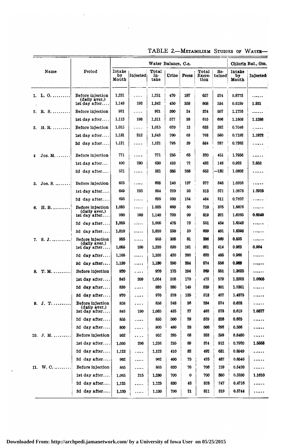|                             |                                   |                       |          | Water Balance, C.c.  |       |       |                                |               | Chlorin Bal., Gm.     |          |  |
|-----------------------------|-----------------------------------|-----------------------|----------|----------------------|-------|-------|--------------------------------|---------------|-----------------------|----------|--|
| Name                        | Period                            | Intake<br>by<br>Mouth | Injected | Total<br>In-<br>take | Urine | Feces | Total<br><b>Excre-</b><br>tion | Re-<br>tained | Intake<br>bу<br>Mouth | Injected |  |
| L. 0.<br>ı.                 | Before injection<br>(daily aver,) | 1,231                 | .        | 1,231                | 470   | 187   | 657                            | 574           | 0.8773                | .        |  |
|                             | lst day after                     | 1,149                 | 193      | 1,342                | 450   | 358   | 808                            | 534           | 0.6199                | 1.851    |  |
| R. S.<br>2.                 | Before injection                  | 921                   | .        | 921                  | 300   | 24    | 324                            | 597           | 1.1726                | .        |  |
|                             | 1st day after                     | 1,113                 | 198      | 1,311                | 577   | 38    | 615                            | 696           | 1.1808                | 1.1286   |  |
| $H. R. \ldots \ldots$<br>3. | Before injection                  | 1,015                 | .        | 1,015                | 620   | 13    | 633                            | 382           | 0.7046                | .        |  |
|                             | 1st day after                     | 1,131                 | 212      | 1,343                | 700   | 63    | 763                            | 580           | 0.7192                | 1.1872   |  |
|                             | 2d day after                      | 1,121                 | .        | 1,121                | 795   | 39    | 884                            | 287           | 0.7262                | .        |  |
| $Jos. M.$<br>4              | Before injection                  | 771                   | .        | 771                  | 255   | 65    | 320                            | 451           | 1.7956                | .        |  |
|                             | 1st day after                     | 400                   | 230      | 630                  | 410   | 72    | 482                            | 148           | 0.925                 | 2.852    |  |
|                             | 2d day after                      | 521                   | .        | 521                  | 385   | 268   | 653                            | -132          | 1.0802                | .        |  |
| $Jos. S.$<br>5.             | Before injection                  | 625                   | .        | 625                  | 140   | 137   | 277                            | 348           | 1.0203                | .        |  |
|                             | lst day after                     | 649                   | 235      | 884                  | 220   | 93    | 313                            | 571           | 1.0678                | 1.2925   |  |
|                             | 2d day after                      | 695                   | .        | 695                  | 330   | 154   | 484                            | 211           | 0.7807                | .        |  |
| <b>H. B. </b><br>6.         | Before injection                  | 1,035                 | .        | 1.035                | 660   | 50    | 710                            | 325           | 1.6876                | .        |  |
|                             | (daily aver,)<br>lst day after    | 980                   | 160      | 1,140                | 720   | 99    | 819                            | 321           | 1.6265                | 0.8840   |  |
|                             | 2d day after                      | 1,005                 | .        | 1,005                | 478   | 73    | 551                            | 454           | 1.6543                | .        |  |
|                             | 3d day after                      | 1,010                 | .        | 1,010                | 550   | 59    | 609                            | 401           | 1,6598                | .        |  |
| S. J.<br>7.                 | Before injection                  | 955                   | .        | 955                  | 305   | 81    | 386                            | 569           | 0.835                 | .        |  |
|                             | (daily aver,)<br>lst day after    | 1,055                 | 180      | 1,235                | 630   | 191   | 821                            | 414           | 0.923                 | 0.994    |  |
|                             | 2d day after                      | 1,105                 | .        | 1,105                | 420   | 200   | 620                            | 485           | 0.966                 | .        |  |
|                             | 3d day after                      | 1,130                 | .        | 1,180                | 290   | 284   | 574                            | 556           | 0.088                 |          |  |
| $T. M. \ldots \ldots$<br>8. | Before injection                  | 920                   | .        | 920                  | 175   | 194   | 369                            | 551           | 1.3635                |          |  |
|                             | 1st day after                     | 845                   | 209      | 1,054                | 305   | 170   | 475                            | 579           | 1.2523                | 1.0805   |  |
|                             | 2d day after                      | 830                   | .        | 830                  | 880   | 149   | 529                            | 301           | 1.2301                | .        |  |
|                             | 3d day after                      | 970                   | .        | 970                  | 378   | 135   | 513                            | 457           | 1.4375                | .        |  |
| J. T.<br>9.                 | Before injection                  | 858                   | .        | 858                  | 248   | 36    | 284                            | 574           | 0.628                 | .        |  |
|                             | (daily aver,)<br>1st day after    | 845                   | 190      | 1,035                | 435   | 27    | 462                            | 578           | 0.619                 | 1.0377   |  |
|                             | 2d day after                      | 855                   | .        | 855                  | 500   | 29    | 529                            | 826           | 0.625                 | .        |  |
|                             | 3d day after                      | 800                   | .        | 800                  | 480   | 28    | 508                            | 292           | 0.586                 | .        |  |
| $J. M.$<br>10.              | Before injection                  | 952                   | .        | 952                  | 285   | 68    | 353                            | 599           | 0.8480                | .        |  |
|                             | 1st day after                     | 1,030                 | 206      | 1,236                | 235   | 89    | 324                            | 912           | 0.7920                | 1.5553   |  |
|                             | 2d day after                      | 1,123                 | .        | 1,123                | 410   | 82    | 492                            | 631           | 0.8949                | .        |  |
|                             | 3d day after                      | 962                   |          | 962                  | 400   | 75    | 475                            | 487           | 0.8546                | .        |  |
| $W.$ $C.$<br>11.            | Before injection                  | 865                   | .        | 865                  | 630   | 76    | 706                            | 159           | 0.5420                | .        |  |
|                             | 1st day after                     | 1,065                 | 215      | 1,280                | 700   | 0     | 700                            | 580           | 0.5280                | 1.1610   |  |
|                             | 2d day after                      | 1,125                 | .        | 1,125                | 830   | 48    | 878                            | 247           | 0.4716                |          |  |
|                             | 3d day after                      | 1,130                 | .        | 1,130                | 790   | 21    | 811                            | 319           | 0.5744                | .        |  |
|                             |                                   |                       |          |                      |       |       |                                |               |                       |          |  |

TABLE 2.—Metabolism Studies of Water—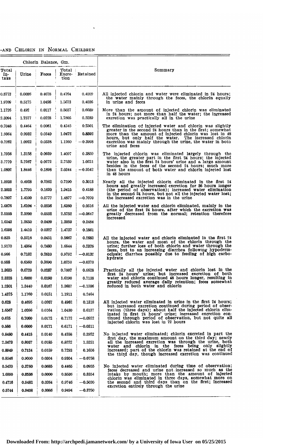# -and Chlorin in Normal Children

 $\ddot{\phantom{a}}$ 

|                      |        | Chlorin Balance, Gm. |                         |           |                                                                                                                                       |
|----------------------|--------|----------------------|-------------------------|-----------|---------------------------------------------------------------------------------------------------------------------------------------|
| Total<br>In-<br>take | Urine  | Feces                | Total<br>Excre-<br>tion | Retained  | Summary                                                                                                                               |
| 0.8773               | 0.0086 | 0.4678               | 0.4764                  | 0.4009    | All injected chlorin and water were eliminated in 24 hours;                                                                           |
| 1.9709               | 0.5175 | 1.0498               | 1.5673                  | 0.4036    | the water mainly through the feces, the chlorin equally<br>in urine and feces                                                         |
| 1.1726               | 0.492  | 0.0117               | 0.5037                  | 0.6689    | More than the amount of injected chlorin was eliminated                                                                               |
| 2.3094               | 1.7577 | 0.0228               | 1.7805                  | 0.5289    | in 24 hours; not more than half the water; the increased<br>exeretion was practically all in the urine                                |
| 0.7046               | 0.4464 | 0.0081               | 0.4545                  | 0.2501    | The elimination of injected water and chlorin was slightly                                                                            |
| 1.9064               | 0.9932 | 0.0540               | 1.0472                  | 0.8592    | greater in the second 24 hours than in the first; somewhat<br>more than the amount of injected chlorin was lost in 48                 |
| 0.7262               | 1.0922 | 0.0338               | 1.1260                  | $-0.3998$ | hours, but only half the water. The increased chlorin<br>excretion was mainly through the urine, the water in both<br>urine and feces |
| 1.7956               | 1,3158 | 0.0939               | 1.4097                  | 0.3859    | The injected chlorin was eliminated largely through the                                                                               |
| 3.7770               | 2.7267 | 0.0272               | 2.7539                  | 1.0231    | urine, the greater part in the first 24 hours; the injected<br>water also in the first 24 hours' urine and a large amount             |
| 1.0802               | 1.8446 | 0.1898               | 2.0344                  | $-0.9542$ | besides in the feces of the second 24 hours; much more<br>than the amount of both water and chlorin injected lost<br>in 48 hours      |
| 1.0203               | 0.4928 | 0.2262               | 0.7190                  | 0.3013    | Nearly all the injected chlorin eliminated in the first 24                                                                            |
| 2.3603               | 1.7795 | 0.1620               | 1.9415                  | 0.4188    | hours and greatly increased excretion for 36 hours longer<br>(the period of observation); increased water elimination                 |
| 0.7807               | 1.4100 | 0.0777               | 1.4877                  | $-0.7070$ | in the second 24 hours, but not all the injected water lost;<br>the increased excretion was in the urine                              |
| 1.6876               | 1.6104 | 0.0256               | 1.6360                  | 0.0516    | All the injected water and chlorin eliminated, mainly in the                                                                          |
| 2.5105               | 2.5200 | 0.0552               | 2,5752                  | —0.0647   | urine of the first 24 hours, after which the excretion was<br>greatly decreased from the normal; retention therefore                  |
| 1.6543               | 1.2650 | 0.0409               | 1.3059                  | 0.3484    | increased                                                                                                                             |
| 1.6598               | 1.4410 | 0.0327               | 1.4737                  | 0.1861    |                                                                                                                                       |
| 0.835                | 0.5216 | 0.0451               | 0.5667                  | 0.2683    | All the injected water and chlorin eliminated in the first 24                                                                         |
| 1.9170               | 1.4364 | 0.2480               | 1.6844                  | 0.2326    | hours, the water and most of the chlorin through the<br>urine; further loss of both chlorin and water through the                     |
| 0.966                | 0.7182 | 0.2610               | 0.9792                  | $-0.0132$ | feces, but to an increasing diarrhea following hypoderm-<br>oclysis; diarrhea possibly due to feeding of high carbo-                  |
| 0.988                | 0.6560 | 0.3690               | 1.0250                  | $-0.0370$ | hydrate                                                                                                                               |
| 1.3685               | 0.6720 | 0.0287               | 0.7007                  | 0.6628    | Practically all the injected water and chlorin lost in the<br>first 24 hours' urine; but increased excretion of both                  |
| 2.3328               | 1.6000 | 0.0190               | 1.6190                  | 0.7138    | water and chlorin continued 48 hours longer, resulting in<br>greatly reduced average daily retention; feces somewhat                  |
| 1.2801               | 1.3440 | 0.0167               | 1.3607                  | $-0.1306$ | reduced in both water and chlorin                                                                                                     |
| 1.4375               | 1.1760 | 0.0151               | 1.1911                  | 0.2464    |                                                                                                                                       |
| 0.628                | 0.4695 | 0.0267               | 0.4962                  | 0.1318    | All injected water eliminated in urine in the first 24 hours;<br>but increased excretion continued during period of obser-            |
| 1.6567               | 1.0266 | 0.0164               | 1.0430                  | 0.6137    | vation (three days); about half the injected chlorin elim-<br>inated in first 24 hours' urine; increased excretion con-               |
| 0.625                | 0.7000 | 0.0172               | 0.7172                  | $-0.0922$ | tinued through period of observation, but not quite all<br>injected chlorin was lost in 72 hours                                      |
| 0.586                | 0.6000 | 0.0171               | 0.6171                  | $-0.0311$ |                                                                                                                                       |
| 0.8480               | 0.4418 | 0.0140               | 0.4558                  | 0.3922    | No injected water eliminated; chlorin excreted in part the<br>first day, the maximum amount on the third day; nearly                  |
| 2.3473               | 0.8037 | 0.0185               | 0.8222                  | 1.5251    | all the increased excretion was through the urine, both<br>water and chlorin in the feces being only slightly                         |
| 0.8949               | 0.7134 | 0.0159               | 0.7293                  | 0.1656    | increased; part of the chlorin was retained at the end of<br>the third day, though increased excretion was continued                  |
| 0.8546               | 0.9000 | 0.0804               | 0.9304                  | -0.0758   |                                                                                                                                       |
| 0.5420               | 0.3780 | 0.0685               | 0.4465                  | 0.0955    | No injected water eliminated during time of observation;<br>feces decreased and urine not increased so much as the                    |
| 1.6890               | 0.8536 | 0.0000               | 0.8536                  | 0.8354    | intake by mouth; more than the amount of injected<br>chlorin was eliminated in three days, somewhat more on                           |
| 0.4716               | 0.9482 | 0.0264               | 0.9746                  | $-0.5030$ | the second and third days than on the first; increased<br>excretion entirely through the urine                                        |
| 0.5744               | 0.9408 | 0.0086               | 0.9494                  | $-0.3750$ |                                                                                                                                       |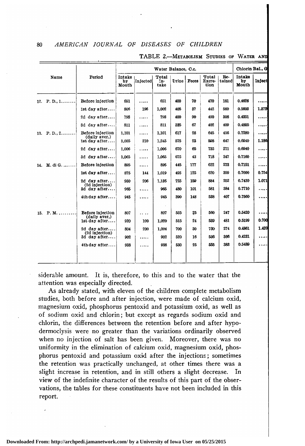80

|     |                         |                                   |                              |          | Water Balance, C.c.  |       |              |                         |               | Chlorin Bal., G              |          |
|-----|-------------------------|-----------------------------------|------------------------------|----------|----------------------|-------|--------------|-------------------------|---------------|------------------------------|----------|
|     | Name                    | Period                            | <b>Intake</b><br>by<br>Mouth | Injected | Total<br>In-<br>take | Urine | <b>Feces</b> | Total<br>Excre-<br>tion | Re-<br>tained | <b>Intake</b><br>bу<br>Mouth | Inject   |
|     | 12. P. D., $1, \ldots,$ | Before injection                  | 651                          | .        | 651                  | 400   | 70           | 470                     | 181           | 0.4626                       | . 1      |
|     |                         | 1st day after                     | 806                          | 196      | 1,002                | 405   | 37           | 442                     | 560           | 0.5603                       | 1.872    |
|     |                         | 2d day after                      | 798                          | .        | 798                  | 400   | 90           | 490                     | 308           | 0.4351                       | . 1      |
|     |                         | 3d day after                      | 811                          | .        | 811                  | 335   | 67           | 402                     | 409           | 0.4805                       | . 1      |
|     | 13. $P. D., 2, , $      | Before injection<br>(daily aver.) | 1,101                        | .        | 1,101                | 617   | 28           | 645                     | 456           | 0.7280                       | . 1      |
|     |                         | $1st$ day after                   | 1,035                        | 210      | 1,245                | 575   | 23           | 598                     | 647           | 0.6940                       | 1.186    |
|     |                         | 2d day after                      | 1,006                        | .        | 1.006                | 670   | 65           | 735                     | 271           | 0.6940                       | .        |
|     |                         | 3d day after                      | 1.065                        | .        | 1.065                | 675   | 43           | 718                     | 347           | 0.7160                       | .        |
|     | 14. M. di G.            | Before injection                  | 895                          | .        | 895                  | 445   | 177          | 622                     | 273           | 0.7151                       | . 1      |
|     |                         | $1st$ day after                   | 875                          | 144      | 1,019                | 495   | 125          | 620                     | 399           | 0.7000                       | 0.754    |
|     |                         | 2d day after                      | 930                          | 206      | 1,136                | 725   | 159          | 884                     | 252           | 0.7430                       | 1.071    |
|     |                         | (2d injection)<br>3d day after    | 965                          | .        | 965                  | 480   | 101          | 581                     | 384           | 0.7710                       | .        |
|     |                         | $4th$ day after                   | 945                          | .        | 945                  | 390   | 148          | 538                     | 407           | 0.7560                       | $\cdots$ |
|     |                         |                                   |                              |          |                      |       |              |                         |               |                              |          |
| 15. | $P. M.$                 | Before injection                  | 807                          | $\cdots$ | 807                  | 535   | 25           | 560                     | 247           | 0.5420                       | . 1      |
|     |                         | (daily aver.)<br>$1st$ day after  | 920                          | 100      | 1.020                | 515   | 24           | 539                     | 481           | 0.5199                       | 0.700    |
|     |                         | 2d day after                      | 804                          | 200      | 1.004                | 700   | 30           | 730                     | 274           | 0.4861                       | 1.420    |
|     |                         | (2d injection)<br>3d day after    | 902                          | .        | 902                  | 520   | 16           | 536                     | 366           | 0.4231                       | . 1      |
|     |                         | 4th day after                     | 938                          | .        | 938                  | 530   | 25           | 555                     | 383           | 0.5489                       | .        |
|     |                         |                                   |                              |          |                      |       |              |                         |               |                              |          |
|     |                         |                                   |                              |          |                      |       |              |                         |               |                              |          |

TABLE 2.-METABOLISM STUDIES OF WATER AND

siderable amount. It is, therefore, to this and to the water that the attention was especially directed.

As already stated, with eleven of the children complete metabolism studies, both before and after injection, were made of calcium oxid, magnesium oxid, phosphorus pentoxid and potassium oxid, as well as of sodium oxid and chlorin; but except as regards sodium oxid and chlorin, the differences between the retention before and after hypodermoclysis were no greater than the variations ordinarily observed when no injection of salt has been given. Moreover, there was no uniformity in the elimination of calcium oxid, magnesium oxid, phosphorus pentoxid and potassium oxid after the injections ; sometimes the retention was practically unchanged, at other times there was <sup>a</sup> slight increase in retention, and in still others <sup>a</sup> slight decrease. In view of the indefinite character of the results of this part of the observations, the tables for these constituents have not been included in this report.

**Downloaded From: http://archpedi.jamanetwork.com/ by a University of Iowa User on 05/25/2015**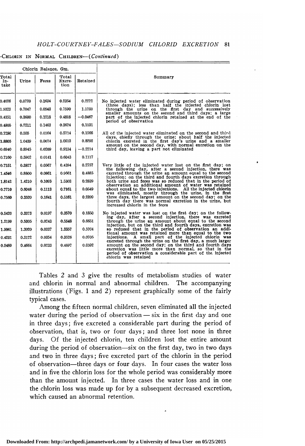-CHLORIN IN NORMAL CHILDREN-(Continued)

|                      |        | Chlorin Balance, Gm. |                         |           |                                                                                                                                                                                                                                                                    |
|----------------------|--------|----------------------|-------------------------|-----------|--------------------------------------------------------------------------------------------------------------------------------------------------------------------------------------------------------------------------------------------------------------------|
| Total<br>In-<br>take | Urine  | Feces                | Total<br>Excre-<br>tion | Retained  | Summary                                                                                                                                                                                                                                                            |
| 0.4626               | 0.0720 | 0.1634               | 0.2354                  | 0.2272    | No injected water eliminated during period of observation<br>(three days); less than half the injected chlorin lost                                                                                                                                                |
| 1.9323               | 0.7047 | 0.0543               | 0.7590                  | 1.1733    | through the urine on the first day and successively<br>smaller amounts on the second and third days; a large                                                                                                                                                       |
| 0.4351               | 0.3600 | 0.1218               | 0.4818                  | $-0.0467$ | part of the injected chlorin retained at the end of the<br>period of observation                                                                                                                                                                                   |
| 0.4805               | 0.2211 | 0.1463               | 0.3674                  | 0.1131    |                                                                                                                                                                                                                                                                    |
| 0.7280               | 0.555  | 0.0164               | 0.5714                  | 0.1566    | All of the injected water eliminated on the second and third                                                                                                                                                                                                       |
| 1.8805               | 1.0439 | 0.0074               | 1.0513                  | 0.8292    | days, chiefly through the urine; about half the injected<br>chlorin excreted in the first day's urine and a smaller                                                                                                                                                |
| 0.6940               | 0.8945 | 0.0209               | 0.9154                  | $-0.2214$ | amount on the second day, with normal excretion on the<br>third day, leaving a part not eliminated                                                                                                                                                                 |
| 0.7160               | 0.5902 | 0.0141               | 0.6043                  | 0.1117    |                                                                                                                                                                                                                                                                    |
| 0.7151               | 0.3827 | 0.0567               | 0.4394                  | 0.2757    | Very little of the injected water lost on the first day; on                                                                                                                                                                                                        |
| 1.4546               | 0.8800 | 0.0861               | 0.9661                  | 0.4885    | the following day, after a second injection, there was<br>excreted through the urine an amount equal to the second                                                                                                                                                 |
| 1.8142               | 1.4210 | 0.1093               | 1.5303                  | 0.2839    | injection: on the third and fourth days excretion through<br>both urine and feces was so reduced that in the period of                                                                                                                                             |
| 0.7710               | 0.6048 | 0.1113               | 0.7161                  | 0.0549    | observation an additional amount of water was retained<br>about equal to the two injections. All the injected chlorin                                                                                                                                              |
| 0.7560               | 0.3520 | 0.1641               | 0.5161                  | 0.2399    | was eliminated, mostly through the urine, in the first<br>three days, the largest amount on the second day; on the<br>fourth day there was normal excretion in the urine, but<br>increased chlorin in the feces                                                    |
| 0.5420               | 0.3373 | 0.0197               | 0.3570                  | 0.1850    | No injected water was lost on the first day; on the follow-                                                                                                                                                                                                        |
| 1.2199               | 0.5305 | 0.0243               | 0.5548                  | 0.6651    | ing day, after a second injection, there was excreted<br>through the urine an amount about equal to the second                                                                                                                                                     |
| 1.9061               | 1.3020 | 0.0337               | 1.3357                  | 0.5704    | injection, but on the third and fourth days, excretion was<br>so reduced that in the period of observation an addi-                                                                                                                                                |
| 0.4231               | 0.3172 | 0.0354               | 0.3526                  | 0.0705    | tional amount was retained more than equal to the two<br>A small part of the injected chlorin was<br>injections.                                                                                                                                                   |
| 0.5489               | 0.4664 | 0.0233               | 0.4897                  | 0.0592    | excreted through the urine on the first day, a much larger<br>amount on the second day; on the third and fourth days<br>excretion was little more than normal, so that in the<br>period of observation a considerable part of the injected<br>chlorin was retained |

Tables <sup>2</sup> and <sup>3</sup> give the results of metabolism studies of water and chlorin in normal and abnormal children. The accompanying illustrations (Figs. <sup>1</sup> and 2) represent graphically some of the fairly typical cases.

Among the fifteen normal children, seven eliminated all the injected water during the period of observation — six in the first day and one in three days; five excreted <sup>a</sup> considerable part during the period of observation, that is, two or four days ; and three lost none in three days. Of the injected chlorin, ten children lost the entire amount during the period of observation—six on the first day, two in two days and two in three days ; five excreted part of the chlorin in the period of observation—three days or four days. In four cases the water loss and in five the chlorin loss for the whole period was considerably more than the amount injected. In three cases the water loss and in one the chlorin loss was made up for by <sup>a</sup> subsequent decreased excretion, which caused an abnormal retention.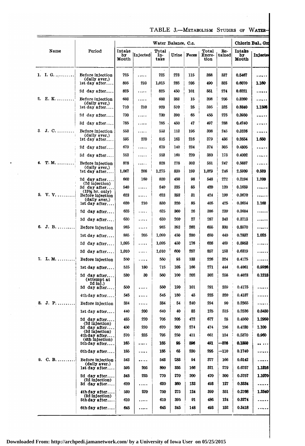TABLE 3.—Metabolism Studies of Water-

|                             |                                                         |                       |           | Water Balance, O.c.  |           |              |                         |               |                        | Chlorin Bal., Gm |
|-----------------------------|---------------------------------------------------------|-----------------------|-----------|----------------------|-----------|--------------|-------------------------|---------------|------------------------|------------------|
| Name                        | Period                                                  | Intake<br>by<br>Mouth | Injected  | Total<br>In-<br>take | Urine     | <b>Feces</b> | Total<br>Excre-<br>tion | Re-<br>tained | Intake<br>by.<br>Mouth | Injecte          |
| 1. I. G.                    | Before injection                                        | 725                   | .         | 725                  | 273       | 115          | 388                     | 337           | 0.5467                 | .                |
|                             | (daily aver,)<br>$1st$ day after                        | 805                   | 210       | 1,015                | 285       | 205          | 490                     | 525           | 0.6070                 | 1.160            |
|                             | 2d day after                                            | 825                   | .         | 825                  | 450       | 101          | 551                     | 274           | 0.6221                 |                  |
| E. K.<br>2.                 | Before injection                                        | 603                   | .         | 603                  | 383       | 15           | 398                     | 205           | 0.3260                 | $$               |
|                             | (daily aver,)<br>$1st$ day after                        | 710                   | 210       | 920                  | 570       | 25           | 595                     | 325           | 0.3840                 | 1.1598           |
|                             | 2d day after                                            | 730                   | .         | 730                  | 390       | 65           | 455                     | 275           | 0.3950                 | .                |
|                             | 3d day after                                            | 785                   | .         | 785                  | 450       | 47           | 497                     | 288           | 0.4240                 | .                |
| J. C.<br>3.                 | Before injection                                        | 553                   | .         | 553                  | 113       | 195          | 308                     | 245           | 0.3526                 |                  |
|                             | (daily aver,)<br>1st day after                          | 595                   | 220       | 815                  | 163       | 216          | 379                     | 436           | 0.2654                 | 1.650            |
|                             | 2d day after                                            | 679                   | .         | 679                  | 140       | 234          | 374                     | 305           | 0.4805                 |                  |
|                             | 3d day after                                            | 553                   | .         | 553                  | 160       | 220          | 380                     | 173           | 0.4002                 | .                |
| $T. M. \ldots \ldots$<br>4. | Before injection<br>(daily aver,)                       | 828                   | .         | 828                  | 278       | 303          | 581                     | 247           | 0.5887                 | .                |
|                             | $1st$ day after                                         | 1,067                 | 208       | 1,275                | 830       | 199          | 1,029                   | 246           | 2.5909                 | 0.520            |
|                             | 2d day after<br>(2d injection)                          | 660                   | 160       | 820                  | 450       | 98           | 548                     | 272           | 0.2194                 | 1.200            |
|                             | 3d day after<br>$(13\frac{1}{2})$ hr. only)             | 540                   | .         | 540                  | 335       | 85           | 420                     | 120           | 0.1659                 | .                |
| $V. V. \ldots \ldots$<br>5. | Before injection<br>(daily aver,)                       | 623                   | .         | 623                  | 393       | 31           | 424                     | 199           | 0.3670                 | .                |
|                             | ist day after                                           | 620                   | 210       | 830                  | 320       | 85           | 405                     | 425           | 0.3654                 | 1.160            |
|                             | 2d day after                                            | 625                   |           | 625                  | 360       | 26           | 386                     | 239           | 0.3684                 |                  |
|                             | 3d day after                                            | 630                   | .         | 630                  | 260       | 27           | 287                     | 343           | 0.3713                 | .                |
| J. B.<br>6.                 | Before injection                                        | 985                   | .         | 985                  | 393       | 262          | 655                     | 330           | 0.8570                 | .                |
|                             | Ist day after                                           | 885                   | 205       | 1,090                | 450       | 200          | 650                     | 440           | 0.7837                 | 1.025            |
|                             | 2d day after                                            | 1,095                 | .         | 1,095                | 450       | 176          | 626                     | 469           | 0.8953                 | .                |
|                             | 3d day after                                            | 1,010                 | .         | 1,010                | 600       | 257          | 857                     | 153           | 0.6319                 |                  |
| $L. M. \ldots$<br>7.        | Before injection                                        | 550<br>535            | .         | 550                  | 93<br>105 | 133<br>166   | 226<br>271              | 324           | 0.4175                 | .                |
|                             | list day after                                          | 530                   | 180<br>30 | 715<br>560           | 100       | 202          | 302                     | 444<br>258    | 0.4061<br>0.4023       | 0.9936<br>0.1218 |
|                             | 2d day after<br>(attempt at<br>2d inj.)<br>3d day after | 550                   | .         | 550                  | 190       | 101          | 291                     | 259           | 0.4175                 | .                |
|                             | 4th day after                                           | 545                   | .         | 545                  | 180       | 45           | 225                     | 320           | 0.4137                 | .                |
| J. P.<br>8.                 | Before injection                                        | 384                   | .         | 384                  | . 54      | 240          | 294                     | 90            | 0.2565                 | .                |
|                             | Ist day after                                           | 440                   | 200       | 640                  | 40        | 85           | 125                     | 515           | 0.2536                 | 0.8480           |
|                             | 2d day after                                            | 485                   | 220       | 705                  | 205       | 472          | 677                     | 28            | 0.4560                 | 1.2950           |
|                             | (2d injection)<br>3d day after                          | 450                   | 220       | 670                  | 200       | 274          | 474                     | 196           | 0.4230                 | 1.100            |
|                             | (3d injection)<br>$4th$ day after<br>(4th injection)    | 570                   | 225       | 795                  | 250       | 411          | 661                     | 134           | 0.5370                 | 0.960            |
|                             | 5th day after                                           | 165                   | .         | 165                  | 95        | 896          | 491                     | -326          | 0.1550                 |                  |
|                             | 6th day after                                           | 185                   | .         | 185                  | 65        | 230          | 295                     | -110          | 0.1740                 | .                |
| C. B.<br>9.                 | Before injection<br>(daily aver.)                       | 543                   |           | 543                  | 283       | 94           | 377                     | 166           | 0.6142                 | .                |
|                             | $1st$ day after                                         | 595                   | 205       | 800                  | 855       | 166          | 521                     | 279           | 0.6757                 | 1.1816           |
|                             | 2d day after<br>(2d injection)                          | 545                   | 225       | 770                  | 270       | 200          | 470                     | 300           | 0.5757                 | 1.1070           |
|                             | 3d day after                                            | 620                   | .         | 620                  | 860       | 133          | 493                     | 127           | 0.3334                 |                  |
|                             | 4th day after<br>(3d injection)                         | 530                   | 220       | 750                  | 275       | 124          | 399                     | 351           | 0.2768                 | 1.2540           |
|                             | 5th day after                                           | 610                   | .         | 610                  | 395       | 91           | 486                     | 124           | 0.3274                 |                  |
|                             | 6th day after                                           | 645                   | .         | 645                  | 345       | 148          | 493                     | 152           | 0.3418                 |                  |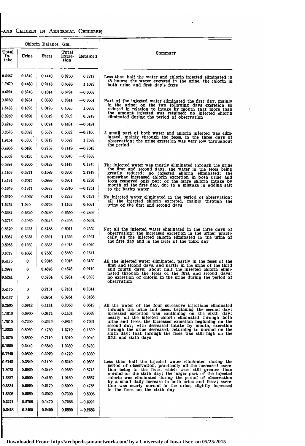# -and Chlorin in Abnormal Children

| Chlorin Balance. Gm.<br>Total<br>Total<br>Summary<br>Urine<br>In-<br>Feces<br>Retained<br>Excre-<br>take<br>tion<br> 0.5467<br>0.1840<br>0.1410<br>0.3250<br>0.2217<br>48 hours; the water excreted in the urine, the chlorin in both urine and first day's feces<br>1.7670<br>0.4480<br>0.2118<br>0.6598<br>1.1072<br>0.6221<br>0.5240<br>0.1044<br>0.6284<br>$-0.0063$<br>0.3260<br>0.3734<br>0.0080<br>0.8814<br>$-0.0554$<br>in the urine; on the two following days excretion so<br>0.4390<br>1.5438<br>0.0195<br>0,4585<br>1.0853<br>the amount injected was retained; no injected chlorin<br>0.3950<br>0.2690<br>0.0512<br>0.3202<br>0.0748<br>eliminated during the period of observation<br>0.4240<br>0.4050<br>0.0374<br>0.4424<br>$-0.0184$<br>0.3526<br>0.0093<br>0.5632<br>0.5539<br>$-0.2106$<br>inated, mainly through the feces, in the three days of<br>0.0360<br>1.9154<br>0.6212<br>0.6572<br>1.2582<br>the period<br>0.0180<br>0.7268<br>$-0.2643$<br>0.4805<br>0.7448<br>0.0120<br>0.6840<br>$-0.2838$<br>0.4002<br>0.6720<br>0.3660<br>0.4142<br>0.5887<br>0.0482<br>0.1745<br>the first and second days, the water in the feces being greatly reduced; no injected chlorin eliminated; the<br>0.5271<br>0.6360<br>2.4749<br>3.1109<br>0.1089<br>somewhat increased chlorin excretion in both urine and feces removed only part of the large chlorin intake by control mouth of the first day, due to a mistake in adding salt<br>0.6075<br>0.0889<br>0.6964<br>0.7230<br> 1.4194<br>0.2910<br>-0.1251<br>0.1659<br>0.1977<br>0.0933<br>to the barley water<br>0.3062<br>0.3233<br>0.0437<br>0.3670<br>0.0171<br>No injected water eliminated in the period of observation;<br>1.5254<br>0.4091<br>1.040<br>0.0763<br>1.1163<br>urine of the first and second days<br>0.3684<br>0.6320<br>0.0230<br>0.6550<br>$-0.2866$<br>0.3713<br>0.3960<br>0.0245<br>0.4205<br>$-0.0492$<br>0.2223<br>0.8570<br>0.3788<br>0.6011<br>0.2559<br>1.8087<br>0.8235<br>0.3291<br>0.6561<br>1.1526<br>the first day and in the feces of the third day<br>0.8953<br>0.1260<br>0.3653<br>0.4040<br>0.4913<br>0.8660<br>$-0.2341$<br>0.6319<br>0.1080<br>0.7580<br>0.2159<br>0.2016<br>0.2016<br>0.4175<br>0<br>1.3997<br>0.9119<br>0<br>0.4878<br>0.4878<br>and fourth days; about half the injected chlorin elimi-<br>0.5241<br>0<br>0.5934<br>0.5934<br>$-0.0693$<br>observation<br>0.2161<br>0.2014<br>0.4175<br>0<br>0.2161<br>0<br>0.0951<br>0.0951<br>0.3186<br>0.4137<br>0.2053<br>0.2565<br>0.0912<br>0.0512<br>0.1141<br>through the urine and feces, beginning the second day;<br>0.0960<br>0.1434<br>0.9582<br>1.1016<br>0.0474<br>nearly all the injected chlorin eliminated through both<br>1.7510<br>0.7200<br>0.2646<br>0.9846<br>0.7664<br>second day; with decreased intake by mouth, excretion through the urine decreased, returning to normal on the<br>1.5230<br>0.8960<br>0.4750<br>1.3710<br>0.1520<br>sixth day; that through the feces was still high on the<br>1.4970<br>fifth and sixth days<br>0.8800<br>0.7110<br>1.5910<br>$-0.0940$<br>0.1550<br>0.6840<br>0.3440<br>1.0280<br>$-0.8730$<br>0.1740<br>0.0800<br>0.3970<br>0.4770<br>$-0.3030$<br>0.6142<br>. 0.3840<br>0.1409<br>0.5249<br>0.0893<br>period of observation, practically all the increased excre-<br>period of bondwidth, practically all the interests of the feeds which were still greater than<br>normal on the sixth day; the larger part of the injected<br>chlorin was eliminated during the period of observation<br>by a small dail<br>1.8073<br>0.5920<br>0.3440<br>0.9360<br>0.8713<br>1.6827<br>0.6000<br><b>0.4160</b><br>1.0160<br>0.6667<br>0.3384<br>0.5020<br><b>0.2170</b><br>0.8090<br>$-0.4756$<br>1.5308<br>0.5280<br>0.2020<br>0.7300<br>0.8008<br>0.3274<br>0.5796<br>0.1470<br>0.7266<br>$-0.3992$<br>0.3418<br>0.3400<br>0.2400<br>0.5800<br>$-0.2382$ |  |  |                                                                                                                         |
|---------------------------------------------------------------------------------------------------------------------------------------------------------------------------------------------------------------------------------------------------------------------------------------------------------------------------------------------------------------------------------------------------------------------------------------------------------------------------------------------------------------------------------------------------------------------------------------------------------------------------------------------------------------------------------------------------------------------------------------------------------------------------------------------------------------------------------------------------------------------------------------------------------------------------------------------------------------------------------------------------------------------------------------------------------------------------------------------------------------------------------------------------------------------------------------------------------------------------------------------------------------------------------------------------------------------------------------------------------------------------------------------------------------------------------------------------------------------------------------------------------------------------------------------------------------------------------------------------------------------------------------------------------------------------------------------------------------------------------------------------------------------------------------------------------------------------------------------------------------------------------------------------------------------------------------------------------------------------------------------------------------------------------------------------------------------------------------------------------------------------------------------------------------------------------------------------------------------------------------------------------------------------------------------------------------------------------------------------------------------------------------------------------------------------------------------------------------------------------------------------------------------------------------------------------------------------------------------------------------------------------------------------------------------------------------------------------------------------------------------------------------------------------------------------------------------------------------------------------------------------------------------------------------------------------------------------------------------------------------------------------------------------------------------------------------------------------------------------------------------------------------------------------------------------------------------------------------------------------------------------------------------------------------------------------------------------------------------------------------------------------------------------------------------------------------------------------------------------------------------------------------------------------------------------------------------------------------------------------------------------------------------------------------------------------------------------------------------------------------------------------------------------------------------------------------------------------------------------------------------------------|--|--|-------------------------------------------------------------------------------------------------------------------------|
|                                                                                                                                                                                                                                                                                                                                                                                                                                                                                                                                                                                                                                                                                                                                                                                                                                                                                                                                                                                                                                                                                                                                                                                                                                                                                                                                                                                                                                                                                                                                                                                                                                                                                                                                                                                                                                                                                                                                                                                                                                                                                                                                                                                                                                                                                                                                                                                                                                                                                                                                                                                                                                                                                                                                                                                                                                                                                                                                                                                                                                                                                                                                                                                                                                                                                                                                                                                                                                                                                                                                                                                                                                                                                                                                                                                                                                                                                 |  |  |                                                                                                                         |
|                                                                                                                                                                                                                                                                                                                                                                                                                                                                                                                                                                                                                                                                                                                                                                                                                                                                                                                                                                                                                                                                                                                                                                                                                                                                                                                                                                                                                                                                                                                                                                                                                                                                                                                                                                                                                                                                                                                                                                                                                                                                                                                                                                                                                                                                                                                                                                                                                                                                                                                                                                                                                                                                                                                                                                                                                                                                                                                                                                                                                                                                                                                                                                                                                                                                                                                                                                                                                                                                                                                                                                                                                                                                                                                                                                                                                                                                                 |  |  |                                                                                                                         |
|                                                                                                                                                                                                                                                                                                                                                                                                                                                                                                                                                                                                                                                                                                                                                                                                                                                                                                                                                                                                                                                                                                                                                                                                                                                                                                                                                                                                                                                                                                                                                                                                                                                                                                                                                                                                                                                                                                                                                                                                                                                                                                                                                                                                                                                                                                                                                                                                                                                                                                                                                                                                                                                                                                                                                                                                                                                                                                                                                                                                                                                                                                                                                                                                                                                                                                                                                                                                                                                                                                                                                                                                                                                                                                                                                                                                                                                                                 |  |  | Less than half the water and chlorin injected eliminated in                                                             |
|                                                                                                                                                                                                                                                                                                                                                                                                                                                                                                                                                                                                                                                                                                                                                                                                                                                                                                                                                                                                                                                                                                                                                                                                                                                                                                                                                                                                                                                                                                                                                                                                                                                                                                                                                                                                                                                                                                                                                                                                                                                                                                                                                                                                                                                                                                                                                                                                                                                                                                                                                                                                                                                                                                                                                                                                                                                                                                                                                                                                                                                                                                                                                                                                                                                                                                                                                                                                                                                                                                                                                                                                                                                                                                                                                                                                                                                                                 |  |  |                                                                                                                         |
|                                                                                                                                                                                                                                                                                                                                                                                                                                                                                                                                                                                                                                                                                                                                                                                                                                                                                                                                                                                                                                                                                                                                                                                                                                                                                                                                                                                                                                                                                                                                                                                                                                                                                                                                                                                                                                                                                                                                                                                                                                                                                                                                                                                                                                                                                                                                                                                                                                                                                                                                                                                                                                                                                                                                                                                                                                                                                                                                                                                                                                                                                                                                                                                                                                                                                                                                                                                                                                                                                                                                                                                                                                                                                                                                                                                                                                                                                 |  |  |                                                                                                                         |
|                                                                                                                                                                                                                                                                                                                                                                                                                                                                                                                                                                                                                                                                                                                                                                                                                                                                                                                                                                                                                                                                                                                                                                                                                                                                                                                                                                                                                                                                                                                                                                                                                                                                                                                                                                                                                                                                                                                                                                                                                                                                                                                                                                                                                                                                                                                                                                                                                                                                                                                                                                                                                                                                                                                                                                                                                                                                                                                                                                                                                                                                                                                                                                                                                                                                                                                                                                                                                                                                                                                                                                                                                                                                                                                                                                                                                                                                                 |  |  | Part of the injected water eliminated the first day, mainly                                                             |
|                                                                                                                                                                                                                                                                                                                                                                                                                                                                                                                                                                                                                                                                                                                                                                                                                                                                                                                                                                                                                                                                                                                                                                                                                                                                                                                                                                                                                                                                                                                                                                                                                                                                                                                                                                                                                                                                                                                                                                                                                                                                                                                                                                                                                                                                                                                                                                                                                                                                                                                                                                                                                                                                                                                                                                                                                                                                                                                                                                                                                                                                                                                                                                                                                                                                                                                                                                                                                                                                                                                                                                                                                                                                                                                                                                                                                                                                                 |  |  | reduced in relation to intake by mouth that more than                                                                   |
|                                                                                                                                                                                                                                                                                                                                                                                                                                                                                                                                                                                                                                                                                                                                                                                                                                                                                                                                                                                                                                                                                                                                                                                                                                                                                                                                                                                                                                                                                                                                                                                                                                                                                                                                                                                                                                                                                                                                                                                                                                                                                                                                                                                                                                                                                                                                                                                                                                                                                                                                                                                                                                                                                                                                                                                                                                                                                                                                                                                                                                                                                                                                                                                                                                                                                                                                                                                                                                                                                                                                                                                                                                                                                                                                                                                                                                                                                 |  |  |                                                                                                                         |
|                                                                                                                                                                                                                                                                                                                                                                                                                                                                                                                                                                                                                                                                                                                                                                                                                                                                                                                                                                                                                                                                                                                                                                                                                                                                                                                                                                                                                                                                                                                                                                                                                                                                                                                                                                                                                                                                                                                                                                                                                                                                                                                                                                                                                                                                                                                                                                                                                                                                                                                                                                                                                                                                                                                                                                                                                                                                                                                                                                                                                                                                                                                                                                                                                                                                                                                                                                                                                                                                                                                                                                                                                                                                                                                                                                                                                                                                                 |  |  |                                                                                                                         |
|                                                                                                                                                                                                                                                                                                                                                                                                                                                                                                                                                                                                                                                                                                                                                                                                                                                                                                                                                                                                                                                                                                                                                                                                                                                                                                                                                                                                                                                                                                                                                                                                                                                                                                                                                                                                                                                                                                                                                                                                                                                                                                                                                                                                                                                                                                                                                                                                                                                                                                                                                                                                                                                                                                                                                                                                                                                                                                                                                                                                                                                                                                                                                                                                                                                                                                                                                                                                                                                                                                                                                                                                                                                                                                                                                                                                                                                                                 |  |  | A small part of both water and chlorin injected was elim-                                                               |
|                                                                                                                                                                                                                                                                                                                                                                                                                                                                                                                                                                                                                                                                                                                                                                                                                                                                                                                                                                                                                                                                                                                                                                                                                                                                                                                                                                                                                                                                                                                                                                                                                                                                                                                                                                                                                                                                                                                                                                                                                                                                                                                                                                                                                                                                                                                                                                                                                                                                                                                                                                                                                                                                                                                                                                                                                                                                                                                                                                                                                                                                                                                                                                                                                                                                                                                                                                                                                                                                                                                                                                                                                                                                                                                                                                                                                                                                                 |  |  | observation; the urine excretion was very low throughout                                                                |
|                                                                                                                                                                                                                                                                                                                                                                                                                                                                                                                                                                                                                                                                                                                                                                                                                                                                                                                                                                                                                                                                                                                                                                                                                                                                                                                                                                                                                                                                                                                                                                                                                                                                                                                                                                                                                                                                                                                                                                                                                                                                                                                                                                                                                                                                                                                                                                                                                                                                                                                                                                                                                                                                                                                                                                                                                                                                                                                                                                                                                                                                                                                                                                                                                                                                                                                                                                                                                                                                                                                                                                                                                                                                                                                                                                                                                                                                                 |  |  |                                                                                                                         |
|                                                                                                                                                                                                                                                                                                                                                                                                                                                                                                                                                                                                                                                                                                                                                                                                                                                                                                                                                                                                                                                                                                                                                                                                                                                                                                                                                                                                                                                                                                                                                                                                                                                                                                                                                                                                                                                                                                                                                                                                                                                                                                                                                                                                                                                                                                                                                                                                                                                                                                                                                                                                                                                                                                                                                                                                                                                                                                                                                                                                                                                                                                                                                                                                                                                                                                                                                                                                                                                                                                                                                                                                                                                                                                                                                                                                                                                                                 |  |  |                                                                                                                         |
|                                                                                                                                                                                                                                                                                                                                                                                                                                                                                                                                                                                                                                                                                                                                                                                                                                                                                                                                                                                                                                                                                                                                                                                                                                                                                                                                                                                                                                                                                                                                                                                                                                                                                                                                                                                                                                                                                                                                                                                                                                                                                                                                                                                                                                                                                                                                                                                                                                                                                                                                                                                                                                                                                                                                                                                                                                                                                                                                                                                                                                                                                                                                                                                                                                                                                                                                                                                                                                                                                                                                                                                                                                                                                                                                                                                                                                                                                 |  |  | The injected water was mostly eliminated through the urine                                                              |
|                                                                                                                                                                                                                                                                                                                                                                                                                                                                                                                                                                                                                                                                                                                                                                                                                                                                                                                                                                                                                                                                                                                                                                                                                                                                                                                                                                                                                                                                                                                                                                                                                                                                                                                                                                                                                                                                                                                                                                                                                                                                                                                                                                                                                                                                                                                                                                                                                                                                                                                                                                                                                                                                                                                                                                                                                                                                                                                                                                                                                                                                                                                                                                                                                                                                                                                                                                                                                                                                                                                                                                                                                                                                                                                                                                                                                                                                                 |  |  |                                                                                                                         |
|                                                                                                                                                                                                                                                                                                                                                                                                                                                                                                                                                                                                                                                                                                                                                                                                                                                                                                                                                                                                                                                                                                                                                                                                                                                                                                                                                                                                                                                                                                                                                                                                                                                                                                                                                                                                                                                                                                                                                                                                                                                                                                                                                                                                                                                                                                                                                                                                                                                                                                                                                                                                                                                                                                                                                                                                                                                                                                                                                                                                                                                                                                                                                                                                                                                                                                                                                                                                                                                                                                                                                                                                                                                                                                                                                                                                                                                                                 |  |  |                                                                                                                         |
|                                                                                                                                                                                                                                                                                                                                                                                                                                                                                                                                                                                                                                                                                                                                                                                                                                                                                                                                                                                                                                                                                                                                                                                                                                                                                                                                                                                                                                                                                                                                                                                                                                                                                                                                                                                                                                                                                                                                                                                                                                                                                                                                                                                                                                                                                                                                                                                                                                                                                                                                                                                                                                                                                                                                                                                                                                                                                                                                                                                                                                                                                                                                                                                                                                                                                                                                                                                                                                                                                                                                                                                                                                                                                                                                                                                                                                                                                 |  |  |                                                                                                                         |
|                                                                                                                                                                                                                                                                                                                                                                                                                                                                                                                                                                                                                                                                                                                                                                                                                                                                                                                                                                                                                                                                                                                                                                                                                                                                                                                                                                                                                                                                                                                                                                                                                                                                                                                                                                                                                                                                                                                                                                                                                                                                                                                                                                                                                                                                                                                                                                                                                                                                                                                                                                                                                                                                                                                                                                                                                                                                                                                                                                                                                                                                                                                                                                                                                                                                                                                                                                                                                                                                                                                                                                                                                                                                                                                                                                                                                                                                                 |  |  |                                                                                                                         |
|                                                                                                                                                                                                                                                                                                                                                                                                                                                                                                                                                                                                                                                                                                                                                                                                                                                                                                                                                                                                                                                                                                                                                                                                                                                                                                                                                                                                                                                                                                                                                                                                                                                                                                                                                                                                                                                                                                                                                                                                                                                                                                                                                                                                                                                                                                                                                                                                                                                                                                                                                                                                                                                                                                                                                                                                                                                                                                                                                                                                                                                                                                                                                                                                                                                                                                                                                                                                                                                                                                                                                                                                                                                                                                                                                                                                                                                                                 |  |  | all the injected chlorin excreted, mainly through the                                                                   |
|                                                                                                                                                                                                                                                                                                                                                                                                                                                                                                                                                                                                                                                                                                                                                                                                                                                                                                                                                                                                                                                                                                                                                                                                                                                                                                                                                                                                                                                                                                                                                                                                                                                                                                                                                                                                                                                                                                                                                                                                                                                                                                                                                                                                                                                                                                                                                                                                                                                                                                                                                                                                                                                                                                                                                                                                                                                                                                                                                                                                                                                                                                                                                                                                                                                                                                                                                                                                                                                                                                                                                                                                                                                                                                                                                                                                                                                                                 |  |  |                                                                                                                         |
|                                                                                                                                                                                                                                                                                                                                                                                                                                                                                                                                                                                                                                                                                                                                                                                                                                                                                                                                                                                                                                                                                                                                                                                                                                                                                                                                                                                                                                                                                                                                                                                                                                                                                                                                                                                                                                                                                                                                                                                                                                                                                                                                                                                                                                                                                                                                                                                                                                                                                                                                                                                                                                                                                                                                                                                                                                                                                                                                                                                                                                                                                                                                                                                                                                                                                                                                                                                                                                                                                                                                                                                                                                                                                                                                                                                                                                                                                 |  |  |                                                                                                                         |
|                                                                                                                                                                                                                                                                                                                                                                                                                                                                                                                                                                                                                                                                                                                                                                                                                                                                                                                                                                                                                                                                                                                                                                                                                                                                                                                                                                                                                                                                                                                                                                                                                                                                                                                                                                                                                                                                                                                                                                                                                                                                                                                                                                                                                                                                                                                                                                                                                                                                                                                                                                                                                                                                                                                                                                                                                                                                                                                                                                                                                                                                                                                                                                                                                                                                                                                                                                                                                                                                                                                                                                                                                                                                                                                                                                                                                                                                                 |  |  | Not all the injected water eliminated in the three days of                                                              |
|                                                                                                                                                                                                                                                                                                                                                                                                                                                                                                                                                                                                                                                                                                                                                                                                                                                                                                                                                                                                                                                                                                                                                                                                                                                                                                                                                                                                                                                                                                                                                                                                                                                                                                                                                                                                                                                                                                                                                                                                                                                                                                                                                                                                                                                                                                                                                                                                                                                                                                                                                                                                                                                                                                                                                                                                                                                                                                                                                                                                                                                                                                                                                                                                                                                                                                                                                                                                                                                                                                                                                                                                                                                                                                                                                                                                                                                                                 |  |  | observation; the increased excretion in the urine; practi-<br>cally all the injected chlorin eliminated in the urine of |
|                                                                                                                                                                                                                                                                                                                                                                                                                                                                                                                                                                                                                                                                                                                                                                                                                                                                                                                                                                                                                                                                                                                                                                                                                                                                                                                                                                                                                                                                                                                                                                                                                                                                                                                                                                                                                                                                                                                                                                                                                                                                                                                                                                                                                                                                                                                                                                                                                                                                                                                                                                                                                                                                                                                                                                                                                                                                                                                                                                                                                                                                                                                                                                                                                                                                                                                                                                                                                                                                                                                                                                                                                                                                                                                                                                                                                                                                                 |  |  |                                                                                                                         |
|                                                                                                                                                                                                                                                                                                                                                                                                                                                                                                                                                                                                                                                                                                                                                                                                                                                                                                                                                                                                                                                                                                                                                                                                                                                                                                                                                                                                                                                                                                                                                                                                                                                                                                                                                                                                                                                                                                                                                                                                                                                                                                                                                                                                                                                                                                                                                                                                                                                                                                                                                                                                                                                                                                                                                                                                                                                                                                                                                                                                                                                                                                                                                                                                                                                                                                                                                                                                                                                                                                                                                                                                                                                                                                                                                                                                                                                                                 |  |  |                                                                                                                         |
|                                                                                                                                                                                                                                                                                                                                                                                                                                                                                                                                                                                                                                                                                                                                                                                                                                                                                                                                                                                                                                                                                                                                                                                                                                                                                                                                                                                                                                                                                                                                                                                                                                                                                                                                                                                                                                                                                                                                                                                                                                                                                                                                                                                                                                                                                                                                                                                                                                                                                                                                                                                                                                                                                                                                                                                                                                                                                                                                                                                                                                                                                                                                                                                                                                                                                                                                                                                                                                                                                                                                                                                                                                                                                                                                                                                                                                                                                 |  |  | All the injected water eliminated, partly in the feces of the                                                           |
|                                                                                                                                                                                                                                                                                                                                                                                                                                                                                                                                                                                                                                                                                                                                                                                                                                                                                                                                                                                                                                                                                                                                                                                                                                                                                                                                                                                                                                                                                                                                                                                                                                                                                                                                                                                                                                                                                                                                                                                                                                                                                                                                                                                                                                                                                                                                                                                                                                                                                                                                                                                                                                                                                                                                                                                                                                                                                                                                                                                                                                                                                                                                                                                                                                                                                                                                                                                                                                                                                                                                                                                                                                                                                                                                                                                                                                                                                 |  |  | first and second days, and partly in the urine of the third                                                             |
|                                                                                                                                                                                                                                                                                                                                                                                                                                                                                                                                                                                                                                                                                                                                                                                                                                                                                                                                                                                                                                                                                                                                                                                                                                                                                                                                                                                                                                                                                                                                                                                                                                                                                                                                                                                                                                                                                                                                                                                                                                                                                                                                                                                                                                                                                                                                                                                                                                                                                                                                                                                                                                                                                                                                                                                                                                                                                                                                                                                                                                                                                                                                                                                                                                                                                                                                                                                                                                                                                                                                                                                                                                                                                                                                                                                                                                                                                 |  |  | nated through the feces of the first and second days;<br>no excretion of chlorin in the urine during the period of      |
|                                                                                                                                                                                                                                                                                                                                                                                                                                                                                                                                                                                                                                                                                                                                                                                                                                                                                                                                                                                                                                                                                                                                                                                                                                                                                                                                                                                                                                                                                                                                                                                                                                                                                                                                                                                                                                                                                                                                                                                                                                                                                                                                                                                                                                                                                                                                                                                                                                                                                                                                                                                                                                                                                                                                                                                                                                                                                                                                                                                                                                                                                                                                                                                                                                                                                                                                                                                                                                                                                                                                                                                                                                                                                                                                                                                                                                                                                 |  |  |                                                                                                                         |
|                                                                                                                                                                                                                                                                                                                                                                                                                                                                                                                                                                                                                                                                                                                                                                                                                                                                                                                                                                                                                                                                                                                                                                                                                                                                                                                                                                                                                                                                                                                                                                                                                                                                                                                                                                                                                                                                                                                                                                                                                                                                                                                                                                                                                                                                                                                                                                                                                                                                                                                                                                                                                                                                                                                                                                                                                                                                                                                                                                                                                                                                                                                                                                                                                                                                                                                                                                                                                                                                                                                                                                                                                                                                                                                                                                                                                                                                                 |  |  |                                                                                                                         |
|                                                                                                                                                                                                                                                                                                                                                                                                                                                                                                                                                                                                                                                                                                                                                                                                                                                                                                                                                                                                                                                                                                                                                                                                                                                                                                                                                                                                                                                                                                                                                                                                                                                                                                                                                                                                                                                                                                                                                                                                                                                                                                                                                                                                                                                                                                                                                                                                                                                                                                                                                                                                                                                                                                                                                                                                                                                                                                                                                                                                                                                                                                                                                                                                                                                                                                                                                                                                                                                                                                                                                                                                                                                                                                                                                                                                                                                                                 |  |  | All the water of the four successive injections eliminated                                                              |
|                                                                                                                                                                                                                                                                                                                                                                                                                                                                                                                                                                                                                                                                                                                                                                                                                                                                                                                                                                                                                                                                                                                                                                                                                                                                                                                                                                                                                                                                                                                                                                                                                                                                                                                                                                                                                                                                                                                                                                                                                                                                                                                                                                                                                                                                                                                                                                                                                                                                                                                                                                                                                                                                                                                                                                                                                                                                                                                                                                                                                                                                                                                                                                                                                                                                                                                                                                                                                                                                                                                                                                                                                                                                                                                                                                                                                                                                                 |  |  | increased excretion was continuing on the sixth day;                                                                    |
|                                                                                                                                                                                                                                                                                                                                                                                                                                                                                                                                                                                                                                                                                                                                                                                                                                                                                                                                                                                                                                                                                                                                                                                                                                                                                                                                                                                                                                                                                                                                                                                                                                                                                                                                                                                                                                                                                                                                                                                                                                                                                                                                                                                                                                                                                                                                                                                                                                                                                                                                                                                                                                                                                                                                                                                                                                                                                                                                                                                                                                                                                                                                                                                                                                                                                                                                                                                                                                                                                                                                                                                                                                                                                                                                                                                                                                                                                 |  |  | urine and feces, the increased excretion beginning on the                                                               |
|                                                                                                                                                                                                                                                                                                                                                                                                                                                                                                                                                                                                                                                                                                                                                                                                                                                                                                                                                                                                                                                                                                                                                                                                                                                                                                                                                                                                                                                                                                                                                                                                                                                                                                                                                                                                                                                                                                                                                                                                                                                                                                                                                                                                                                                                                                                                                                                                                                                                                                                                                                                                                                                                                                                                                                                                                                                                                                                                                                                                                                                                                                                                                                                                                                                                                                                                                                                                                                                                                                                                                                                                                                                                                                                                                                                                                                                                                 |  |  |                                                                                                                         |
|                                                                                                                                                                                                                                                                                                                                                                                                                                                                                                                                                                                                                                                                                                                                                                                                                                                                                                                                                                                                                                                                                                                                                                                                                                                                                                                                                                                                                                                                                                                                                                                                                                                                                                                                                                                                                                                                                                                                                                                                                                                                                                                                                                                                                                                                                                                                                                                                                                                                                                                                                                                                                                                                                                                                                                                                                                                                                                                                                                                                                                                                                                                                                                                                                                                                                                                                                                                                                                                                                                                                                                                                                                                                                                                                                                                                                                                                                 |  |  |                                                                                                                         |
|                                                                                                                                                                                                                                                                                                                                                                                                                                                                                                                                                                                                                                                                                                                                                                                                                                                                                                                                                                                                                                                                                                                                                                                                                                                                                                                                                                                                                                                                                                                                                                                                                                                                                                                                                                                                                                                                                                                                                                                                                                                                                                                                                                                                                                                                                                                                                                                                                                                                                                                                                                                                                                                                                                                                                                                                                                                                                                                                                                                                                                                                                                                                                                                                                                                                                                                                                                                                                                                                                                                                                                                                                                                                                                                                                                                                                                                                                 |  |  |                                                                                                                         |
|                                                                                                                                                                                                                                                                                                                                                                                                                                                                                                                                                                                                                                                                                                                                                                                                                                                                                                                                                                                                                                                                                                                                                                                                                                                                                                                                                                                                                                                                                                                                                                                                                                                                                                                                                                                                                                                                                                                                                                                                                                                                                                                                                                                                                                                                                                                                                                                                                                                                                                                                                                                                                                                                                                                                                                                                                                                                                                                                                                                                                                                                                                                                                                                                                                                                                                                                                                                                                                                                                                                                                                                                                                                                                                                                                                                                                                                                                 |  |  |                                                                                                                         |
|                                                                                                                                                                                                                                                                                                                                                                                                                                                                                                                                                                                                                                                                                                                                                                                                                                                                                                                                                                                                                                                                                                                                                                                                                                                                                                                                                                                                                                                                                                                                                                                                                                                                                                                                                                                                                                                                                                                                                                                                                                                                                                                                                                                                                                                                                                                                                                                                                                                                                                                                                                                                                                                                                                                                                                                                                                                                                                                                                                                                                                                                                                                                                                                                                                                                                                                                                                                                                                                                                                                                                                                                                                                                                                                                                                                                                                                                                 |  |  | Less than half the injected water eliminated during the                                                                 |
|                                                                                                                                                                                                                                                                                                                                                                                                                                                                                                                                                                                                                                                                                                                                                                                                                                                                                                                                                                                                                                                                                                                                                                                                                                                                                                                                                                                                                                                                                                                                                                                                                                                                                                                                                                                                                                                                                                                                                                                                                                                                                                                                                                                                                                                                                                                                                                                                                                                                                                                                                                                                                                                                                                                                                                                                                                                                                                                                                                                                                                                                                                                                                                                                                                                                                                                                                                                                                                                                                                                                                                                                                                                                                                                                                                                                                                                                                 |  |  |                                                                                                                         |
|                                                                                                                                                                                                                                                                                                                                                                                                                                                                                                                                                                                                                                                                                                                                                                                                                                                                                                                                                                                                                                                                                                                                                                                                                                                                                                                                                                                                                                                                                                                                                                                                                                                                                                                                                                                                                                                                                                                                                                                                                                                                                                                                                                                                                                                                                                                                                                                                                                                                                                                                                                                                                                                                                                                                                                                                                                                                                                                                                                                                                                                                                                                                                                                                                                                                                                                                                                                                                                                                                                                                                                                                                                                                                                                                                                                                                                                                                 |  |  |                                                                                                                         |
|                                                                                                                                                                                                                                                                                                                                                                                                                                                                                                                                                                                                                                                                                                                                                                                                                                                                                                                                                                                                                                                                                                                                                                                                                                                                                                                                                                                                                                                                                                                                                                                                                                                                                                                                                                                                                                                                                                                                                                                                                                                                                                                                                                                                                                                                                                                                                                                                                                                                                                                                                                                                                                                                                                                                                                                                                                                                                                                                                                                                                                                                                                                                                                                                                                                                                                                                                                                                                                                                                                                                                                                                                                                                                                                                                                                                                                                                                 |  |  |                                                                                                                         |
|                                                                                                                                                                                                                                                                                                                                                                                                                                                                                                                                                                                                                                                                                                                                                                                                                                                                                                                                                                                                                                                                                                                                                                                                                                                                                                                                                                                                                                                                                                                                                                                                                                                                                                                                                                                                                                                                                                                                                                                                                                                                                                                                                                                                                                                                                                                                                                                                                                                                                                                                                                                                                                                                                                                                                                                                                                                                                                                                                                                                                                                                                                                                                                                                                                                                                                                                                                                                                                                                                                                                                                                                                                                                                                                                                                                                                                                                                 |  |  |                                                                                                                         |
|                                                                                                                                                                                                                                                                                                                                                                                                                                                                                                                                                                                                                                                                                                                                                                                                                                                                                                                                                                                                                                                                                                                                                                                                                                                                                                                                                                                                                                                                                                                                                                                                                                                                                                                                                                                                                                                                                                                                                                                                                                                                                                                                                                                                                                                                                                                                                                                                                                                                                                                                                                                                                                                                                                                                                                                                                                                                                                                                                                                                                                                                                                                                                                                                                                                                                                                                                                                                                                                                                                                                                                                                                                                                                                                                                                                                                                                                                 |  |  |                                                                                                                         |
|                                                                                                                                                                                                                                                                                                                                                                                                                                                                                                                                                                                                                                                                                                                                                                                                                                                                                                                                                                                                                                                                                                                                                                                                                                                                                                                                                                                                                                                                                                                                                                                                                                                                                                                                                                                                                                                                                                                                                                                                                                                                                                                                                                                                                                                                                                                                                                                                                                                                                                                                                                                                                                                                                                                                                                                                                                                                                                                                                                                                                                                                                                                                                                                                                                                                                                                                                                                                                                                                                                                                                                                                                                                                                                                                                                                                                                                                                 |  |  |                                                                                                                         |
|                                                                                                                                                                                                                                                                                                                                                                                                                                                                                                                                                                                                                                                                                                                                                                                                                                                                                                                                                                                                                                                                                                                                                                                                                                                                                                                                                                                                                                                                                                                                                                                                                                                                                                                                                                                                                                                                                                                                                                                                                                                                                                                                                                                                                                                                                                                                                                                                                                                                                                                                                                                                                                                                                                                                                                                                                                                                                                                                                                                                                                                                                                                                                                                                                                                                                                                                                                                                                                                                                                                                                                                                                                                                                                                                                                                                                                                                                 |  |  |                                                                                                                         |

 $\ddot{\phantom{a}}$ 

|<br>|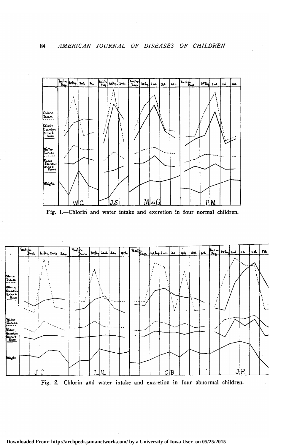

Fig. 1.-Chlorin and water intake and excretion in four normal children.



Fig. 2.-Chlorin and water intake and excretion in four abnormal children.

Downloaded From: http://archpedi.jamanetwork.com/ by a University of Iowa User on 05/25/2015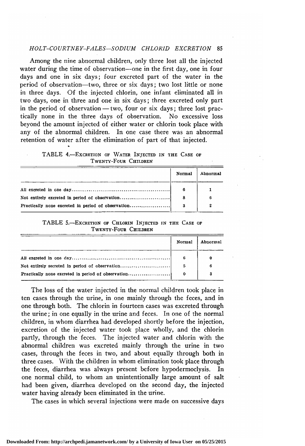### HOLT-COURTNEY-FALES-SODIUM CHLORID EXCRETION 85

Among the nine abnormal children, only three lost all the injected water during the time of observation—one in the first day, one in four days and one in six days; four excreted part of the water in the period of observation—two, three or six days ; two lost little or none in three days. Of the injected chlorin, one infant eliminated all in two days, one in three and one in six days ; three excreted only part in the period of observation — two, four or six days; three lost practically none in the three days of observation. No excessive loss beyond the amount injected of either water or chlorin took place with any of the abnormal children. In one case there was an abnormal retention of water after the elimination of part of that injected.

TABLE 4.-EXCRETION OF WATER INJECTED IN THE CASE OF Twenty-Four Children

|                                                    | Normal | Abnormal |
|----------------------------------------------------|--------|----------|
|                                                    | 6      |          |
| Not entirely excreted in period of observation     | 8      | 6        |
| Practically none excreted in period of observation |        |          |

#### TABLE S.—Excretion of Chlorin Injected in the Case of Twenty-Four Children

|                                                    | Normal | Abnormal |
|----------------------------------------------------|--------|----------|
|                                                    | 6      |          |
| Not entirely secreted in period of observation     | 5      |          |
| Practically none excreted in period of observation |        |          |

The loss of the water injected in the normal children took place in ten cases through the urine, in one mainly through the feces, and in one through both. The chlorin in fourteen cases was excreted through the urine ; in one equally in the urine and feces. In one of the normal children, in whom diarrhea had developed shortly before the injection, excretion of the injected water took place wholly, and the chlorin partly, through the feces. The injected water and chlorin with the abnormal children was excreted mainly through the urine in two cases, through the feces in two, and about equally through both in three cases. With the children in whom elimination took place through the feces, diarrhea was always present before hypodermoclysis. In one normal child, to whom an unintentionally large amount of salt had been given, diarrhea developed on the second day, the injected water having already been eliminated in the urine.

The cases in which several injections were made on successive days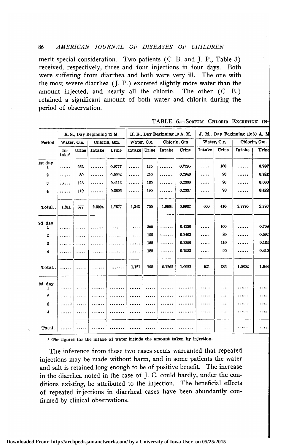merit special consideration. Two patients (C. B. and J. P., Table 3) received, respectively, three and four injections in four days. Both were suffering from diarrhea and both were very ill. The one with the most severe diarrhea (J. P.) excreted slightly more water than the amount injected, and nearly all the chlorin. The other (C. B.) retained <sup>a</sup> significant amount of both water and chlorin during the period of observation.

|                     |                         |          | R. S., Day Beginning 12 M. |              |                |     | H. R., Day Beginning 10 A. M. |              |        |             | J. M., Day Beginning 10:30 A. M |              |
|---------------------|-------------------------|----------|----------------------------|--------------|----------------|-----|-------------------------------|--------------|--------|-------------|---------------------------------|--------------|
| Period              | Water, C.c.             |          |                            | Chlorin, Gm. | Water, C.c.    |     |                               | Chlorin, Gm. |        | Water, O.c. |                                 | Chlorin, Gm. |
|                     | In-<br>$\mathbf{take*}$ | Urine    | Intake                     | Urine        | Intake   Urine |     | <b>Intake</b>                 | Urine        | Intake | Urine       | Intake                          | Urine        |
| 1st day<br>1        | .                       | 262      | .                          | 0.9777       | .              | 135 | .                             | 0.2295       | .      | 160         | .                               | 0.7867       |
| $\bf{2}$            | .                       | 80       | .                          | 0.0992       | .              | 210 | .                             | 0.2940       | .      | 90          | .                               | 0.7812       |
| $\bf 3$             | .                       | 125      | .                          | 0.4113       | .              | 165 | .                             | 0.2360       | .      | 90          | .                               | 0.666        |
| 4                   | .                       | 110      | .                          | 0.2695       | .              | 190 | .                             | 0.2337       | .      | 70          |                                 | 0.492        |
| Total.              | 1.311                   | 577      | 2.3094                     | 1.7577       | 1.343          | 700 | 1.9064                        | 0.9932       | 630    | 410         | 3.7770                          | 2.726        |
| 2d day<br>1         | .                       |          | .                          | 1.1.1.1.1.1  |                | 300 | .                             | 0.4230       | .      | 100         | .                               | 0.708        |
| $\mathbf 2$         | .                       | .        | .                          |              | .              | 155 | 1.1.1.1.1                     | 0.2403       | .      | 80          | .                               | 0.592        |
| $\bf 3$             | .                       | .        | .                          |              |                | 155 | .                             | 0.2356       | .      | 110         | .                               | 0.134        |
| $\overline{4}$      | .                       | .        |                            |              | .              | 185 | .                             | 0.1933       | .      | 95          | .                               | 0.410        |
| Total               | .                       | .        | .                          | .            | 1.121          | 795 | 0.7262                        | 1.0922       | 521    | 385         | 1.0802                          | 1.844        |
| 3d day<br>1         | .                       | $\cdots$ | .                          |              | .              |     |                               |              |        | .           |                                 |              |
| $\boldsymbol{2}$    | .                       | .        | .                          |              | .              |     |                               |              | .      | .           | .                               | $\cdots$     |
| 3                   | . 3                     | .        | .                          |              | .              |     |                               |              |        | $\cdots$    | .                               | .            |
| $\ddot{\mathbf{4}}$ | .                       | .        | .                          |              | .              | .   | .                             |              | .      |             | .                               | .            |
| $Total.$            |                         | .        | .                          |              | .              |     | .                             |              |        | .           |                                 | .            |

TABLE 6.-SODIUM CHLORID EXCRETION IN-

\* The figures for the intake of water include the amount taken by injection.

The inference from these two cases seems warranted that repeated injections may be made without harm, and in some patients the water and salt is retained long enough to be of positive benefit. The increase in the diarrhea noted in the case of J. C. could hardly, under the conditions existing, be attributed to the injection. The beneficial effects of repeated injections in diarrheal cases have been abundantly confirmed by clinical observations.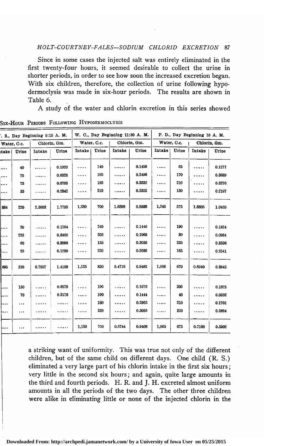#### HOLT-COURTNEY-FALES-SODIUM CHLORID EXCRETION 87

Since in some cases the injected salt was entirely eliminated in the first twenty-four hours, it seemed desirable to collect the urine in shorter periods, in order to see how soon the increased excretion began. With six children, therefore, the collection of urine following hypodermoclysis was made in six-hour periods. The results are shown in Table 6.

A study of the water and chlorin excretion in this series showed

|          |             | . S., Day Beginning 9:15 A. M. |              |        |             | W. C., Day Beginning 11:30 A. M. |              |        |             | P. D., Day Beginning 10 A. M. |              |
|----------|-------------|--------------------------------|--------------|--------|-------------|----------------------------------|--------------|--------|-------------|-------------------------------|--------------|
|          | Water, C.c. |                                | Chlorin, Gm. |        | Water, C.c. |                                  | Chlorin, Gm. |        | Water, O.c. |                               | Chlorin, Gm. |
| take     | Urine       | Intake                         | Urine        | Intake | Urine       | Intake                           | Urine        | Intake | Urine       | Intake                        | Urine        |
|          | 40          |                                | 0.1920       | .      | 140         |                                  | 0.1456       | .      | 65          | .                             | 0.1277       |
| $\cdots$ | 70          | .                              | 0.6328       | .      | 195         | .                                | 0.2496       | .      | 170         | .                             | 0.3689       |
|          | 75          | .                              | 0.6705       | .      | 155         | .                                | 0.2232       | .      | 210         |                               | 0.3276       |
|          | 35          | .                              | 0.2842       | .      | 210         | .                                | 0.2352       | .      | 130         | .                             | 0.2197       |
| 884      | 220         | 2.3603                         | 1.7795       | 1,280  | 700         | 1.6890                           | 0.8536       | 1,245  | 575         | 1.8805                        | 1.0439       |
|          |             |                                |              |        |             |                                  |              |        |             |                               |              |
|          | 20          | .                              | 0.1264       | .      | 240         |                                  | 0.1440       |        | 190         | .                             | 0.1824       |
|          | 225         | .                              | 0.8460       | .      | 205         | .                                | 0.1968       |        | 80          | .                             | 0.0984       |
|          | 60          | .                              | 0.3096       | .      | 155         | .                                | 0.3038       | .      | 235         | .                             | 0.3596       |
| .        | 25          | .                              | 0.1280       | .      | 230         | .                                | 0.3036       | .  .   | 165         | .                             | 0.2541       |
| 695      | 330         | 0.7807                         | 1.4100       | 1,125  | 830         | 0.4716                           | 0.9482       | 1,006  | 670         | 0.6940                        | 0.8945       |
|          |             |                                |              |        |             |                                  |              |        |             |                               |              |
|          | 130         | .                              | 0.6578       | .      | 190         | .                                | 0.1976       | .      | 205         | .                             | 0.1825       |
| $\dots$  | 70          |                                | 0.3178       | .      | 190         | .                                | 0.1444       | .      | 40          | .                             | 0.0352       |
|          | $\cdots$    |                                | .            | .      | 180         | .                                | 0.2952       | .      | 210         | .                             | 0.1701       |
| .        | $\ddotsc$   |                                |              | .      | 230         | .                                | 0.3036       | .      | 220         | .                             | 0.2024       |
|          |             |                                | .            | 1,130  | 790         | 0.5744                           | 0.9408       | 1,065  | 675         | 0.7160                        | 0.5902       |

Six-Hour Periods Following Hypodermoclysis

<sup>a</sup> striking want of uniformity. This was true not only of the different children, but of the same child on different days. One child (R. S.) eliminated <sup>a</sup> very large part of his chlorin intake in the first six hours ; very little in the second six hours; and again, quite large amounts in the third and fourth periods. H. R. and J. H. excreted almost uniform amounts in all the periods of the two days. The other three children were alike in eliminating little or none of the injected chlorin in the